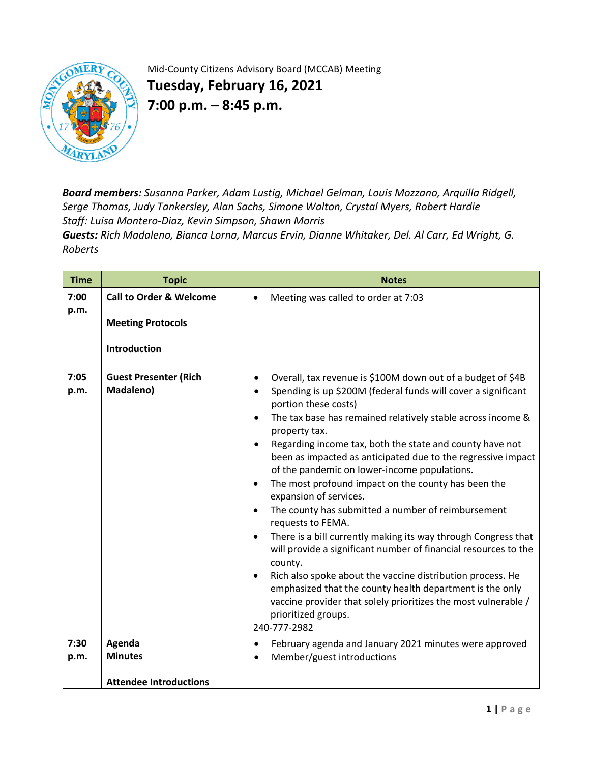

Mid-County Citizens Advisory Board (MCCAB) Meeting

**Tuesday, February 16, 2021 7:00 p.m. – 8:45 p.m.** 

*Board members: Susanna Parker, Adam Lustig, Michael Gelman, Louis Mozzano, Arquilla Ridgell, Serge Thomas, Judy Tankersley, Alan Sachs, Simone Walton, Crystal Myers, Robert Hardie Staff: Luisa Montero-Diaz, Kevin Simpson, Shawn Morris*

*Guests: Rich Madaleno, Bianca Lorna, Marcus Ervin, Dianne Whitaker, Del. Al Carr, Ed Wright, G. Roberts*

| <b>Time</b>  | <b>Topic</b>                                                                          | <b>Notes</b>                                                                                                                                                                                                                                                                                                                                                                                                                                                                                                                                                                                                                                                                                                                                                                                                                                                                                                                                                                                                                                               |
|--------------|---------------------------------------------------------------------------------------|------------------------------------------------------------------------------------------------------------------------------------------------------------------------------------------------------------------------------------------------------------------------------------------------------------------------------------------------------------------------------------------------------------------------------------------------------------------------------------------------------------------------------------------------------------------------------------------------------------------------------------------------------------------------------------------------------------------------------------------------------------------------------------------------------------------------------------------------------------------------------------------------------------------------------------------------------------------------------------------------------------------------------------------------------------|
| 7:00<br>p.m. | <b>Call to Order &amp; Welcome</b><br><b>Meeting Protocols</b><br><b>Introduction</b> | Meeting was called to order at 7:03<br>$\bullet$                                                                                                                                                                                                                                                                                                                                                                                                                                                                                                                                                                                                                                                                                                                                                                                                                                                                                                                                                                                                           |
| 7:05<br>p.m. | <b>Guest Presenter (Rich</b><br>Madaleno)                                             | Overall, tax revenue is \$100M down out of a budget of \$4B<br>$\bullet$<br>Spending is up \$200M (federal funds will cover a significant<br>$\bullet$<br>portion these costs)<br>The tax base has remained relatively stable across income &<br>$\bullet$<br>property tax.<br>Regarding income tax, both the state and county have not<br>$\bullet$<br>been as impacted as anticipated due to the regressive impact<br>of the pandemic on lower-income populations.<br>The most profound impact on the county has been the<br>$\bullet$<br>expansion of services.<br>The county has submitted a number of reimbursement<br>$\bullet$<br>requests to FEMA.<br>There is a bill currently making its way through Congress that<br>$\bullet$<br>will provide a significant number of financial resources to the<br>county.<br>Rich also spoke about the vaccine distribution process. He<br>emphasized that the county health department is the only<br>vaccine provider that solely prioritizes the most vulnerable /<br>prioritized groups.<br>240-777-2982 |
| 7:30         | Agenda                                                                                | February agenda and January 2021 minutes were approved<br>$\bullet$                                                                                                                                                                                                                                                                                                                                                                                                                                                                                                                                                                                                                                                                                                                                                                                                                                                                                                                                                                                        |
| p.m.         | <b>Minutes</b>                                                                        | Member/guest introductions<br>$\bullet$                                                                                                                                                                                                                                                                                                                                                                                                                                                                                                                                                                                                                                                                                                                                                                                                                                                                                                                                                                                                                    |
|              | <b>Attendee Introductions</b>                                                         |                                                                                                                                                                                                                                                                                                                                                                                                                                                                                                                                                                                                                                                                                                                                                                                                                                                                                                                                                                                                                                                            |